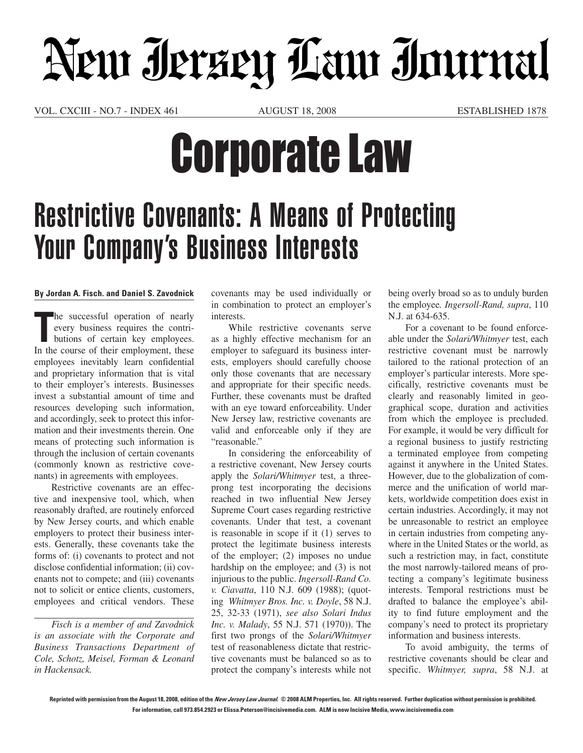## New Jerzey Law Inurnal

VOL. CXCIIi - NO.7 - INDEX 461 AUGUST 18, 2008 ESTABLISHED 1878

## Corporate Law

## Restrictive Covenants: A Means of Protecting Your Company's Business Interests

## **By Jordan A. Fisch. and Daniel S. Zavodnick**

The successful operation of nearly<br>
every business requires the contri-<br>
butions of certain key employees.<br>
In the course of their employment, these he successful operation of nearly every business requires the contributions of certain key employees. employees inevitably learn confidential and proprietary information that is vital to their employer's interests. Businesses invest a substantial amount of time and resources developing such information, and accordingly, seek to protect this information and their investments therein. One means of protecting such information is through the inclusion of certain covenants (commonly known as restrictive covenants) in agreements with employees.

Restrictive covenants are an effective and inexpensive tool, which, when reasonably drafted, are routinely enforced by New Jersey courts, and which enable employers to protect their business interests. Generally, these covenants take the forms of: (i) covenants to protect and not disclose confidential information; (ii) covenants not to compete; and (iii) covenants not to solicit or entice clients, customers, employees and critical vendors. These

*Fisch is a member of and Zavodnick is an associate with the Corporate and Business Transactions Department of Cole, Schotz, Meisel, Forman & Leonard in Hackensack.*

covenants may be used individually or in combination to protect an employer's interests.

While restrictive covenants serve as a highly effective mechanism for an employer to safeguard its business interests, employers should carefully choose only those covenants that are necessary and appropriate for their specific needs. Further, these covenants must be drafted with an eye toward enforceability. Under New Jersey law, restrictive covenants are valid and enforceable only if they are "reasonable."

In considering the enforceability of a restrictive covenant, New Jersey courts apply the *Solari/Whitmyer* test, a threeprong test incorporating the decisions reached in two influential New Jersey Supreme Court cases regarding restrictive covenants. Under that test, a covenant is reasonable in scope if it (1) serves to protect the legitimate business interests of the employer; (2) imposes no undue hardship on the employee; and (3) is not injurious to the public. *Ingersoll-Rand Co. v. Ciavatta*, 110 N.J. 609 (1988); (quoting *Whitmyer Bros. Inc. v. Doyle*, 58 N.J. 25, 32-33 (1971), *see also Solari Indus Inc. v. Malady*, 55 N.J. 571 (1970)). The first two prongs of the *Solari/Whitmyer* test of reasonableness dictate that restrictive covenants must be balanced so as to protect the company's interests while not being overly broad so as to unduly burden the employee*. Ingersoll-Rand, supra*, 110 N.J. at 634-635.

For a covenant to be found enforceable under the *Solari/Whitmyer* test, each restrictive covenant must be narrowly tailored to the rational protection of an employer's particular interests. More specifically, restrictive covenants must be clearly and reasonably limited in geographical scope, duration and activities from which the employee is precluded. For example, it would be very difficult for a regional business to justify restricting a terminated employee from competing against it anywhere in the United States. However, due to the globalization of commerce and the unification of world markets, worldwide competition does exist in certain industries. Accordingly, it may not be unreasonable to restrict an employee in certain industries from competing anywhere in the United States or the world, as such a restriction may, in fact, constitute the most narrowly-tailored means of protecting a company's legitimate business interests. Temporal restrictions must be drafted to balance the employee's ability to find future employment and the company's need to protect its proprietary information and business interests.

To avoid ambiguity, the terms of restrictive covenants should be clear and specific. *Whitmyer, supra*, 58 N.J. at

**Reprinted with permission from the August 18, 2008, edition of the New Jersey Law Journal. © 2008 ALM Properties, Inc. All rights reserved. Further duplication without permission is prohibited. For information, call 973.854.2923 or Elissa.Peterson@incisivemedia.com. ALM is now Incisive Media, www.incisivemedia.com**